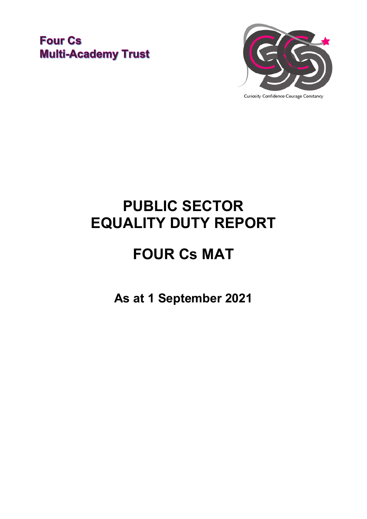### **Four Cs Multi-Academy Trust**



**PUBLIC SECTOR EQUALITY DUTY REPORT**

# **FOUR Cs MAT**

**As at 1 September 2021**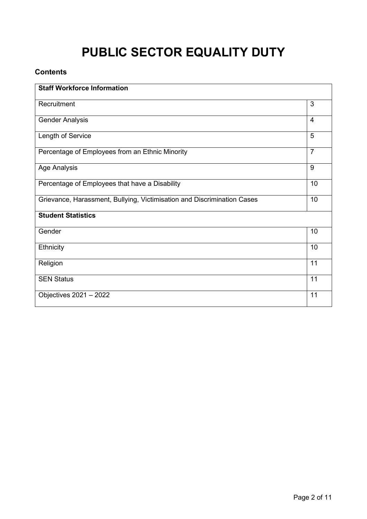## **PUBLIC SECTOR EQUALITY DUTY**

#### **Contents**

| <b>Staff Workforce Information</b>                                      |                |
|-------------------------------------------------------------------------|----------------|
| Recruitment                                                             | 3              |
| <b>Gender Analysis</b>                                                  | $\overline{4}$ |
| Length of Service                                                       | 5              |
| Percentage of Employees from an Ethnic Minority                         | $\overline{7}$ |
| <b>Age Analysis</b>                                                     | 9              |
| Percentage of Employees that have a Disability                          | 10             |
| Grievance, Harassment, Bullying, Victimisation and Discrimination Cases | 10             |
| <b>Student Statistics</b>                                               |                |
| Gender                                                                  | 10             |
| Ethnicity                                                               | 10             |
| Religion                                                                | 11             |
| <b>SEN Status</b>                                                       | 11             |
| Objectives 2021 - 2022                                                  | 11             |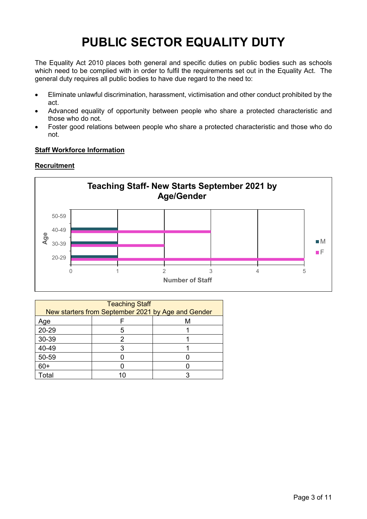### **PUBLIC SECTOR EQUALITY DUTY**

The Equality Act 2010 places both general and specific duties on public bodies such as schools which need to be complied with in order to fulfil the requirements set out in the Equality Act. The general duty requires all public bodies to have due regard to the need to:

- Eliminate unlawful discrimination, harassment, victimisation and other conduct prohibited by the act.
- Advanced equality of opportunity between people who share a protected characteristic and those who do not.
- Foster good relations between people who share a protected characteristic and those who do not.

#### **Staff Workforce Information**

#### **Recruitment**



| <b>Teaching Staff</b><br>New starters from September 2021 by Age and Gender |  |  |  |  |  |
|-----------------------------------------------------------------------------|--|--|--|--|--|
| Age                                                                         |  |  |  |  |  |
| 20-29                                                                       |  |  |  |  |  |
| 30-39                                                                       |  |  |  |  |  |
| 40-49                                                                       |  |  |  |  |  |
| 50-59                                                                       |  |  |  |  |  |
| $60+$                                                                       |  |  |  |  |  |
| Total                                                                       |  |  |  |  |  |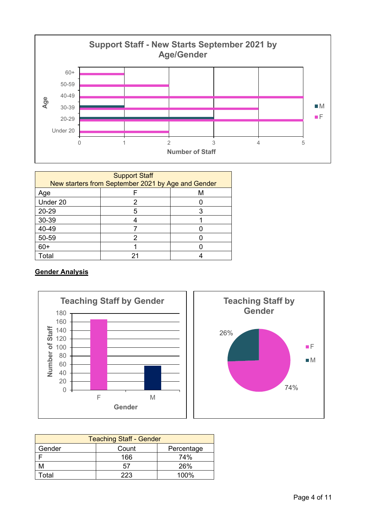

| <b>Support Staff</b><br>New starters from September 2021 by Age and Gender |    |   |  |  |  |  |
|----------------------------------------------------------------------------|----|---|--|--|--|--|
| Age                                                                        |    | м |  |  |  |  |
| Under 20                                                                   |    |   |  |  |  |  |
| 20-29                                                                      |    |   |  |  |  |  |
| 30-39                                                                      |    |   |  |  |  |  |
| 40-49                                                                      |    |   |  |  |  |  |
| 50-59                                                                      |    |   |  |  |  |  |
| $60+$                                                                      |    |   |  |  |  |  |
| Total                                                                      | 21 |   |  |  |  |  |

#### **Gender Analysis**





| <b>Teaching Staff - Gender</b> |                |            |  |  |  |  |
|--------------------------------|----------------|------------|--|--|--|--|
| Gender<br>Count<br>Percentage  |                |            |  |  |  |  |
|                                | 166            | <b>74%</b> |  |  |  |  |
|                                | 26%<br>57      |            |  |  |  |  |
| otal.                          | $100\%$<br>つつつ |            |  |  |  |  |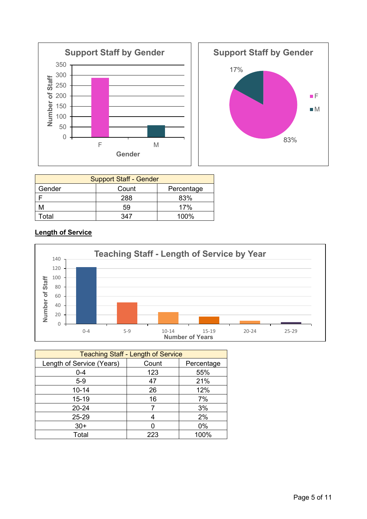



| <b>Support Staff - Gender</b> |     |     |  |  |  |  |
|-------------------------------|-----|-----|--|--|--|--|
| Gender<br>Count<br>Percentage |     |     |  |  |  |  |
|                               | 288 | 83% |  |  |  |  |
|                               | 17% |     |  |  |  |  |
| $100\%$<br><sup>-</sup> otal  |     |     |  |  |  |  |

#### **Length of Service**



| <b>Teaching Staff - Length of Service</b> |       |            |  |  |  |
|-------------------------------------------|-------|------------|--|--|--|
| Length of Service (Years)                 | Count | Percentage |  |  |  |
| $0 - 4$                                   | 123   | 55%        |  |  |  |
| $5-9$                                     | 47    | 21%        |  |  |  |
| $10 - 14$                                 | 26    | 12%        |  |  |  |
| 15-19                                     | 16    | 7%         |  |  |  |
| $20 - 24$                                 | 7     | 3%         |  |  |  |
| 25-29                                     | 4     | 2%         |  |  |  |
| $30+$                                     |       | $0\%$      |  |  |  |
| Total                                     | 223   | 100%       |  |  |  |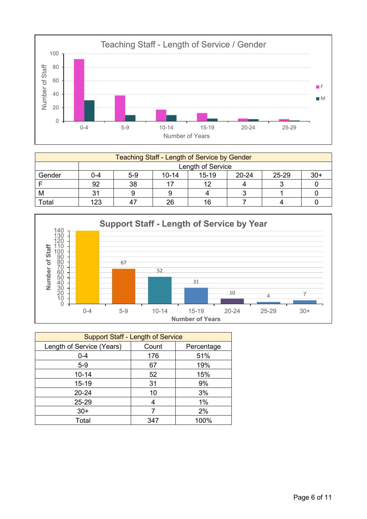

| <b>Teaching Staff - Length of Service by Gender</b> |                   |                                                                |    |    |  |  |  |
|-----------------------------------------------------|-------------------|----------------------------------------------------------------|----|----|--|--|--|
|                                                     | Length of Service |                                                                |    |    |  |  |  |
| Gender                                              | $0 - 4$           | 25-29<br>$30+$<br>$10 - 14$<br>$15 - 19$<br>$20 - 24$<br>$5-9$ |    |    |  |  |  |
|                                                     | 92                | 38                                                             |    | 10 |  |  |  |
| M                                                   | ົ                 |                                                                |    |    |  |  |  |
| Total                                               | 123               |                                                                | 26 | 16 |  |  |  |



| <b>Support Staff - Length of Service</b> |       |            |  |  |  |
|------------------------------------------|-------|------------|--|--|--|
| Length of Service (Years)                | Count | Percentage |  |  |  |
| $0 - 4$                                  | 176   | 51%        |  |  |  |
| $5-9$                                    | 67    | 19%        |  |  |  |
| $10 - 14$                                | 52    | 15%        |  |  |  |
| $15 - 19$                                | 31    | 9%         |  |  |  |
| $20 - 24$                                | 10    | 3%         |  |  |  |
| 25-29                                    |       | 1%         |  |  |  |
| $30+$                                    |       | 2%         |  |  |  |
| Total                                    | 347   | 100%       |  |  |  |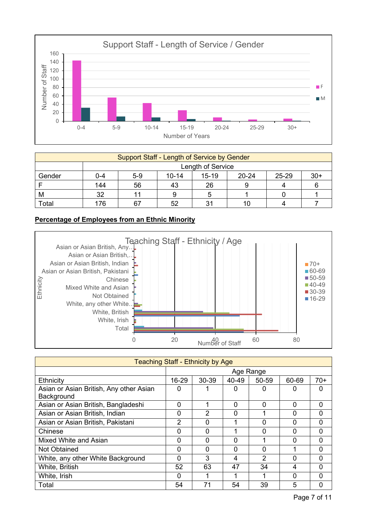

| Support Staff - Length of Service by Gender |                       |                                                                |  |  |  |  |  |  |
|---------------------------------------------|-----------------------|----------------------------------------------------------------|--|--|--|--|--|--|
|                                             | Length of Service     |                                                                |  |  |  |  |  |  |
| Gender                                      | 0-4                   | $30+$<br>25-29<br>$15 - 19$<br>$5-9$<br>$20 - 24$<br>$10 - 14$ |  |  |  |  |  |  |
|                                             | 144<br>56<br>26<br>43 |                                                                |  |  |  |  |  |  |
| M                                           | 32                    |                                                                |  |  |  |  |  |  |
| Total                                       | 76                    |                                                                |  |  |  |  |  |  |

#### **Percentage of Employees from an Ethnic Minority**



| <b>Teaching Staff - Ethnicity by Age</b> |                |                |       |          |          |                |
|------------------------------------------|----------------|----------------|-------|----------|----------|----------------|
|                                          | Age Range      |                |       |          |          |                |
| Ethnicity                                | 16-29          | 30-39          | 40-49 | 50-59    | 60-69    | $70+$          |
| Asian or Asian British, Any other Asian  | 0              |                | 0     | 0        |          | 0              |
| Background                               |                |                |       |          |          |                |
| Asian or Asian British, Bangladeshi      | 0              | 1              | 0     | 0        | $\Omega$ | 0              |
| Asian or Asian British, Indian           | 0              | $\overline{2}$ | 0     |          | 0        | $\mathbf 0$    |
| Asian or Asian British, Pakistani        | $\overline{2}$ | 0              | 4     | 0        | 0        | $\mathbf 0$    |
| Chinese                                  | 0              | 0              |       | $\Omega$ | $\Omega$ | $\mathbf 0$    |
| Mixed White and Asian                    | 0              | 0              | 0     |          | 0        | $\overline{0}$ |
| <b>Not Obtained</b>                      | 0              | 0              | 0     | O        |          | $\Omega$       |
| White, any other White Background        | 0              | 3              | 4     | 2        | O        | $\mathbf 0$    |
| White, British                           | 52             | 63             | 47    | 34       | 4        | $\Omega$       |
| White, Irish                             | 0              |                | ◢     |          | 0        | $\Omega$       |
| Total                                    | 54             | 71             | 54    | 39       | 5        | 0              |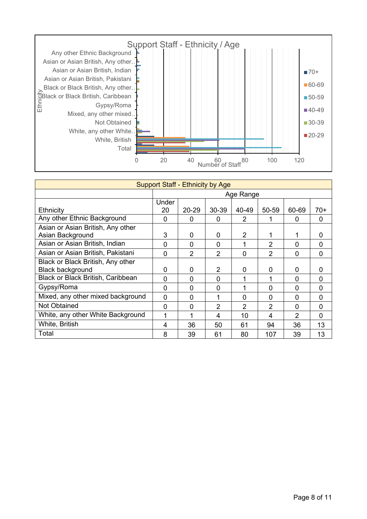

| <b>Support Staff - Ethnicity by Age</b> |          |                |       |               |                |          |          |
|-----------------------------------------|----------|----------------|-------|---------------|----------------|----------|----------|
|                                         |          | Age Range      |       |               |                |          |          |
|                                         | Under    |                |       |               |                |          |          |
| Ethnicity                               | 20       | 20-29          | 30-39 | 40-49         | 50-59          | 60-69    | 70+      |
| Any other Ethnic Background             | $\Omega$ | 0              | 0     | $\mathcal{P}$ |                | 0        | $\Omega$ |
| Asian or Asian British, Any other       |          |                |       |               |                |          |          |
| Asian Background                        | 3        | 0              | 0     | 2             |                |          | $\Omega$ |
| Asian or Asian British, Indian          | $\Omega$ | $\Omega$       | 0     |               | 2              | 0        | $\Omega$ |
| Asian or Asian British, Pakistani       | $\Omega$ | $\overline{2}$ | 2     | $\Omega$      | $\overline{2}$ | $\Omega$ | $\Omega$ |
| Black or Black British, Any other       |          |                |       |               |                |          |          |
| <b>Black background</b>                 | $\Omega$ | 0              | 2     | $\Omega$      | 0              | 0        | 0        |
| Black or Black British, Caribbean       | $\Omega$ | $\Omega$       | 0     |               | 1              | 0        | $\Omega$ |
| Gypsy/Roma                              | $\Omega$ | $\Omega$       | 0     |               | $\Omega$       | $\Omega$ | $\Omega$ |
| Mixed, any other mixed background       | $\Omega$ | $\Omega$       | 1     | $\Omega$      | $\Omega$       | $\Omega$ | $\Omega$ |
| Not Obtained                            | $\Omega$ | $\Omega$       | 2     | 2             | $\overline{2}$ | $\Omega$ | $\Omega$ |
| White, any other White Background       |          | 1              | 4     | 10            | 4              | 2        | $\Omega$ |
| White, British                          | 4        | 36             | 50    | 61            | 94             | 36       | 13       |
| Total                                   | 8        | 39             | 61    | 80            | 107            | 39       | 13       |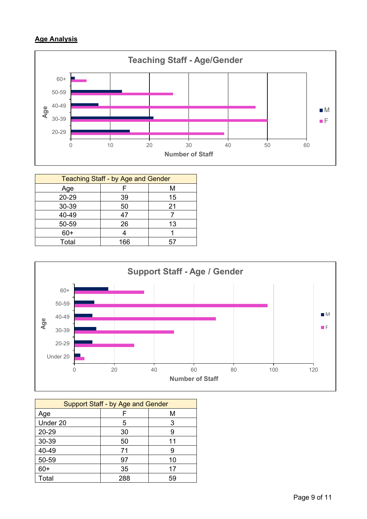#### **Age Analysis**



| <b>Teaching Staff - by Age and Gender</b> |     |    |  |  |  |
|-------------------------------------------|-----|----|--|--|--|
| Age                                       | ⊢   | М  |  |  |  |
| 20-29                                     | 39  | 15 |  |  |  |
| 30-39                                     | 50  | 21 |  |  |  |
| 40-49                                     | 47  |    |  |  |  |
| 50-59                                     | 26  | 13 |  |  |  |
| $60+$                                     |     |    |  |  |  |
| Total                                     | 166 | 5, |  |  |  |



| <b>Support Staff - by Age and Gender</b> |     |    |  |
|------------------------------------------|-----|----|--|
| Age                                      |     | M  |  |
| Under 20                                 | 5   | 3  |  |
| 20-29                                    | 30  | 9  |  |
| 30-39                                    | 50  | 11 |  |
| 40-49                                    | 71  | 9  |  |
| 50-59                                    | 97  | 10 |  |
| $60+$                                    | 35  | 17 |  |
| Total                                    | 288 | 59 |  |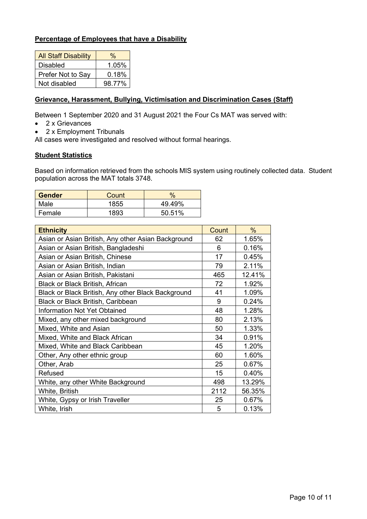#### **Percentage of Employees that have a Disability**

| <b>All Staff Disability</b> | $\frac{0}{0}$ |  |
|-----------------------------|---------------|--|
| Disabled                    | 1.05%         |  |
| Prefer Not to Say           | 0.18%         |  |
| Not disabled                | 98.77%        |  |

#### **Grievance, Harassment, Bullying, Victimisation and Discrimination Cases (Staff)**

Between 1 September 2020 and 31 August 2021 the Four Cs MAT was served with:

- 2 x Grievances
- 2 x Employment Tribunals

All cases were investigated and resolved without formal hearings.

#### **Student Statistics**

Based on information retrieved from the schools MIS system using routinely collected data. Student population across the MAT totals 3748.

| <b>Gender</b> | Count | $\frac{0}{0}$ |
|---------------|-------|---------------|
| Male          | 1855  | 49.49%        |
| Female        | 1893  | 50.51%        |

| <b>Ethnicity</b>                                   | Count | $\%$   |
|----------------------------------------------------|-------|--------|
| Asian or Asian British, Any other Asian Background | 62    | 1.65%  |
| Asian or Asian British, Bangladeshi                | 6     | 0.16%  |
| Asian or Asian British, Chinese                    | 17    | 0.45%  |
| Asian or Asian British, Indian                     | 79    | 2.11%  |
| Asian or Asian British, Pakistani                  | 465   | 12.41% |
| <b>Black or Black British, African</b>             | 72    | 1.92%  |
| Black or Black British, Any other Black Background | 41    | 1.09%  |
| Black or Black British, Caribbean                  | 9     | 0.24%  |
| <b>Information Not Yet Obtained</b>                | 48    | 1.28%  |
| Mixed, any other mixed background                  | 80    | 2.13%  |
| Mixed, White and Asian                             | 50    | 1.33%  |
| Mixed, White and Black African                     | 34    | 0.91%  |
| Mixed, White and Black Caribbean                   | 45    | 1.20%  |
| Other, Any other ethnic group                      | 60    | 1.60%  |
| Other, Arab                                        | 25    | 0.67%  |
| Refused                                            | 15    | 0.40%  |
| White, any other White Background                  | 498   | 13.29% |
| White, British                                     | 2112  | 56.35% |
| White, Gypsy or Irish Traveller                    | 25    | 0.67%  |
| White, Irish                                       | 5     | 0.13%  |